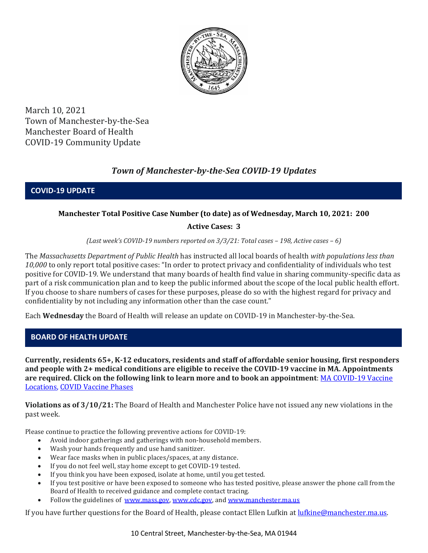

March 10, 2021 Town of Manchester-by-the-Sea Manchester Board of Health COVID-19 Community Update

# *Town of Manchester-by-the-Sea COVID-19 Updates*

**COVID-19 UPDATE**

# **Manchester Total Positive Case Number (to date) as of Wednesday, March 10, 2021: 200**

# **Active Cases: 3**

*(Last week's COVID-19 numbers reported on 3/3/21: Total cases – 198, Active cases – 6)*

The *Massachusetts Department of Public Health* has instructed all local boards of health *with populations less than 10,000* to only report total positive cases: "In order to protect privacy and confidentiality of individuals who test positive for COVID-19. We understand that many boards of health find value in sharing community-specific data as part of a risk communication plan and to keep the public informed about the scope of the local public health effort. If you choose to share numbers of cases for these purposes, please do so with the highest regard for privacy and confidentiality by not including any information other than the case count."

Each **Wednesday** the Board of Health will release an update on COVID-19 in Manchester-by-the-Sea.

# **BOARD OF HEALTH UPDATE**

**Currently, residents 65+, K-12 educators, residents and staff of affordable senior housing, first responders and people with 2+ medical conditions are eligible to receive the COVID-19 vaccine in MA. Appointments are required. Click on the following link to learn more and to book an appointment**[: MA COVID-19 Vaccine](https://www.mass.gov/info-details/covid-19-vaccination-locations)  [Locations, COVID Vaccine Phases](https://www.mass.gov/info-details/covid-19-vaccination-locations)

**Violations as of 3/10/21:** The Board of Health and Manchester Police have not issued any new violations in the past week.

Please continue to practice the following preventive actions for COVID-19:

- Avoid indoor gatherings and gatherings with non-household members.
- Wash your hands frequently and use hand sanitizer.
- Wear face masks when in public places/spaces, at any distance.
- If you do not feel well, stay home except to get COVID-19 tested.
- If you think you have been exposed, isolate at home, until you get tested.
- If you test positive or have been exposed to someone who has tested positive, please answer the phone call from the Board of Health to received guidance and complete contact tracing.
- Follow the guidelines of [www.mass.gov,](http://www.mass.gov/) [www.cdc.gov,](https://www.cdc.gov/) an[d www.manchester.ma.us](http://www.manchester.ma.us/)

If you have further questions for the Board of Health, please contact Ellen Lufkin at [lufkine@manchester.ma.us.](mailto:lufkine@manchester.ma.us)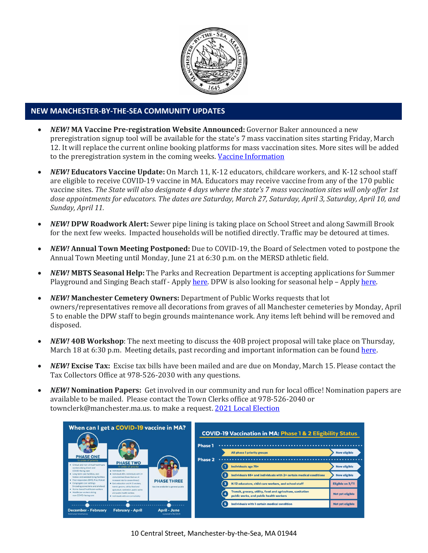

### **NEW MANCHESTER-BY-THE-SEA COMMUNITY UPDATES**

- *NEW!* **MA Vaccine Pre-registration Website Announced:** Governor Baker announced a new preregistration signup tool will be available for the state's 7 mass vaccination sites starting Friday, March 12. It will replace the current online booking platforms for mass vaccination sites. More sites will be added to the preregistration system in the coming weeks. [Vaccine Information](https://www.mass.gov/covid-19-vaccine)
- *NEW!* **Educators Vaccine Update:** On March 11, K-12 educators, childcare workers, and K-12 school staff are eligible to receive COVID-19 vaccine in MA. Educators may receive vaccine from any of the 170 public vaccine sites. *The State will also designate 4 days where the state's 7 mass vaccination sites will only offer 1st dose appointments for educators. The dates are Saturday, March 27, Saturday, April 3, Saturday, April 10, and Sunday, April 11.*
- *NEW!* **DPW Roadwork Alert:** Sewer pipe lining is taking place on School Street and along Sawmill Brook for the next few weeks. Impacted households will be notified directly. Traffic may be detoured at times.
- *NEW!* **Annual Town Meeting Postponed:** Due to COVID-19, the Board of Selectmen voted to postpone the Annual Town Meeting until Monday, June 21 at 6:30 p.m. on the MERSD athletic field.
- *NEW!* **MBTS Seasonal Help:** The Parks and Recreation Department is accepting applications for Summer Playground and Singing Beach staff - Apply [here.](https://www.manchester.ma.us/268/Parks-Recreation) DPW is also looking for seasonal help – Apply [here.](https://www.manchester.ma.us/Jobs.aspx?UniqueId=99&From=All&CommunityJobs=False&JobID=DPW-Seasonal-Help-34)
- *NEW!* **Manchester Cemetery Owners:** Department of Public Works requests that lot owners/representatives remove all decorations from graves of all Manchester cemeteries by Monday, April 5 to enable the DPW staff to begin grounds maintenance work. Any items left behind will be removed and disposed.
- *NEW!* **40B Workshop**: The next meeting to discuss the 40B project proposal will take place on Thursday, March 18 at 6:30 p.m. Meeting details, past recording and important information can be found [here.](http://manchester.ma.us/729/40B)
- *NEW!* **Excise Tax:** Excise tax bills have been mailed and are due on Monday, March 15. Please contact the Tax Collectors Office at 978-526-2030 with any questions.
- *NEW!* **Nomination Papers:** Get involved in our community and run for local office! Nomination papers are available to be mailed. Please contact the Town Clerks office at 978-526-2040 or townclerk@manchester.ma.us. to make a request[. 2021 Local Election](http://manchester.ma.us/503/Town-Meetings-and-Elections)



10 Central Street, Manchester-by-the-Sea, MA 01944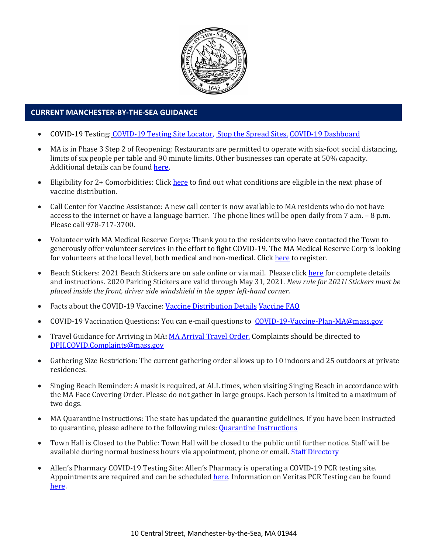

#### • **CURRENT MANCHESTER-BY-THE-SEA GUIDANCE**

- COVID-19 Testing: [COVID-19 Testing Site Locator,](https://memamaps.maps.arcgis.com/apps/webappviewer/index.html?id=eba3f0395451430b9f631cb095febf13) [Stop the Spread Sites,](https://www.mass.gov/info-details/stop-the-spread) [COVID-19 Dashboard](https://www.mass.gov/info-details/covid-19-response-reporting#covid-19-interactive-data-dashboard-)
- MA is in Phase 3 Step 2 of Reopening: Restaurants are permitted to operate with six-foot social distancing, limits of six people per table and 90 minute limits. Other businesses can operate at 50% capacity. Additional details can be found [here.](https://www.mass.gov/news/baker-polito-administration-announces-plans-for-continued-reopening)
- Eligibility for 2+ Comorbidities: Clic[k here](https://www.mass.gov/info-details/covid-19-vaccinations-for-individuals-with-certain-medical-conditions) to find out what conditions are eligible in the next phase of vaccine distribution.
- Call Center for Vaccine Assistance: A new call center is now available to MA residents who do not have access to the internet or have a language barrier. The phone lines will be open daily from 7 a.m. – 8 p.m. Please call 978-717-3700.
- Volunteer with MA Medical Reserve Corps: Thank you to the residents who have contacted the Town to generously offer volunteer services in the effort to fight COVID-19. The MA Medical Reserve Corp is looking for volunteers at the local level, both medical and non-medical. Clic[k here](https://l.facebook.com/l.php?u=https%3A%2F%2Fwww.mamedicalreservecorps.org%2Fcovid19%3Ffbclid%3DIwAR1O_7U70XMSPe_kbb689S7zAJbCTYavpqNhIz9Ce2s-encj1Mlz3fOmjYI&h=AT3a2b6zxupFiw2RA_9kLVFDLZwmtblukw3wwe3pvVN6YWtLrkwxEyW8Z8S97uuzXDiNt1x4DYp7DeOoXm1U98GjBQQufV4R5eC5sYpFoqMi6iMDgiQu2THu_d0XoA0BnNUMg336NM-KtUxjtQ&__tn__=-UK-R&c%5b0%5d=AT2anP_ULhxU-U55t7AxrMiNTXfNIJnoicfzRyKEGzk_70Dtxb6ttNSKpwftDkeovmenW9ksjPEmhjSrMDjZ_NEMD2Upi_WEREnPIZBLU-8cgapV1WMi5HvUjS0InF_0K4aE4PXV6bei0V79lnY9jSo89LgXHVCMF9u0-PYa4j6cBMOzl7xPt7oB2_WGVQ8cDciW8b9U) to register.
- Beach Stickers: 2021 Beach Stickers are on sale online or via mail. Please clic[k here](http://manchester.ma.us/252/Beach-Resident-Parking-Stickers) for complete details and instructions. 2020 Parking Stickers are valid through May 31, 2021. *New rule for 2021! Stickers must be placed inside the front, driver side windshield in the upper left-hand corner.*
- Facts about the COVID-19 Vaccine: [Vaccine Distribution Details](http://ma-manchesterbythesea.civicplus.com/DocumentCenter/View/3629/StopCOVID19_Need-to-Know_Final_English) [Vaccine FAQ](https://www.mass.gov/info-details/covid-19-vaccine-frequently-asked-questions)
- COVID-19 Vaccination Questions: You can e-mail questions to [COVID-19-Vaccine-Plan-MA@mass.gov](file:///C:/Users/marlettat/Desktop/Public%20Relations/2021/COVID-19-Vaccine-Plan-MA@mass.gov)
- Travel Guidance for Arriving in MA: [MA Arrival Travel Order.](https://www.mass.gov/guidance/guidance-for-travelers-arriving-in-the-commonwealth-of-massachusetts) Complaints should be directed to [DPH.COVID.Complaints@mass.gov](mailto:DPH.COVID.Complaints@mass.gov)
- Gathering Size Restriction: The current gathering order allows up to 10 indoors and 25 outdoors at private residences.
- Singing Beach Reminder: A mask is required, at ALL times, when visiting Singing Beach in accordance with the MA Face Covering Order. Please do not gather in large groups. Each person is limited to a maximum of two dogs.
- MA Quarantine Instructions: The state has updated the quarantine guidelines. If you have been instructed to quarantine, please adhere to the following rules: **Quarantine Instructions**
- Town Hall is Closed to the Public: Town Hall will be closed to the public until further notice. Staff will be available during normal business hours via appointment, phone or email. [Staff Directory](http://manchester.ma.us/directory.aspx)
- Allen's Pharmacy COVID-19 Testing Site: Allen's Pharmacy is operating a COVID-19 PCR testing site. Appointments are required and can be scheduled [here.](https://schedule.veritasgenetics.com/) Information on Veritas PCR Testing can be found [here.](https://www.veritasgenetics.com/covid-molecular/)